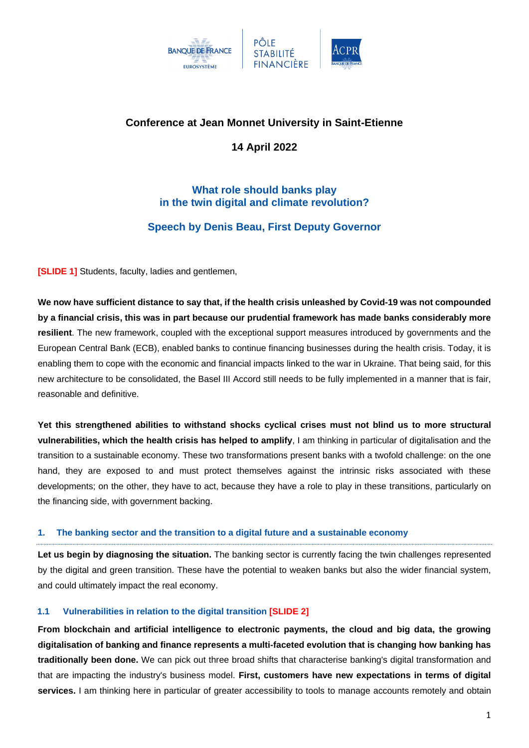

# **Conference at Jean Monnet University in Saint-Etienne**

**14 April 2022**

# **What role should banks play in the twin digital and climate revolution?**

# **Speech by Denis Beau, First Deputy Governor**

**[SLIDE 1]** Students, faculty, ladies and gentlemen,

**We now have sufficient distance to say that, if the health crisis unleashed by Covid-19 was not compounded by a financial crisis, this was in part because our prudential framework has made banks considerably more resilient**. The new framework, coupled with the exceptional support measures introduced by governments and the European Central Bank (ECB), enabled banks to continue financing businesses during the health crisis. Today, it is enabling them to cope with the economic and financial impacts linked to the war in Ukraine. That being said, for this new architecture to be consolidated, the Basel III Accord still needs to be fully implemented in a manner that is fair, reasonable and definitive.

**Yet this strengthened abilities to withstand shocks cyclical crises must not blind us to more structural vulnerabilities, which the health crisis has helped to amplify**, I am thinking in particular of digitalisation and the transition to a sustainable economy. These two transformations present banks with a twofold challenge: on the one hand, they are exposed to and must protect themselves against the intrinsic risks associated with these developments; on the other, they have to act, because they have a role to play in these transitions, particularly on the financing side, with government backing.

## **1. The banking sector and the transition to a digital future and a sustainable economy**

**Let us begin by diagnosing the situation.** The banking sector is currently facing the twin challenges represented by the digital and green transition. These have the potential to weaken banks but also the wider financial system, and could ultimately impact the real economy.

## **1.1 Vulnerabilities in relation to the digital transition [SLIDE 2]**

**From blockchain and artificial intelligence to electronic payments, the cloud and big data, the growing digitalisation of banking and finance represents a multi-faceted evolution that is changing how banking has traditionally been done.** We can pick out three broad shifts that characterise banking's digital transformation and that are impacting the industry's business model. **First, customers have new expectations in terms of digital services.** I am thinking here in particular of greater accessibility to tools to manage accounts remotely and obtain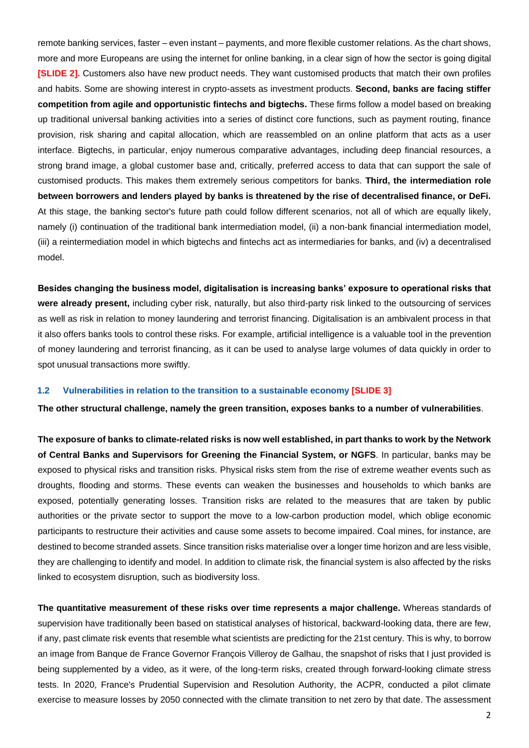remote banking services, faster – even instant – payments, and more flexible customer relations. As the chart shows, more and more Europeans are using the internet for online banking, in a clear sign of how the sector is going digital **[SLIDE 2].** Customers also have new product needs. They want customised products that match their own profiles and habits. Some are showing interest in crypto-assets as investment products. **Second, banks are facing stiffer competition from agile and opportunistic fintechs and bigtechs.** These firms follow a model based on breaking up traditional universal banking activities into a series of distinct core functions, such as payment routing, finance provision, risk sharing and capital allocation, which are reassembled on an online platform that acts as a user interface. Bigtechs, in particular, enjoy numerous comparative advantages, including deep financial resources, a strong brand image, a global customer base and, critically, preferred access to data that can support the sale of customised products. This makes them extremely serious competitors for banks. **Third, the intermediation role between borrowers and lenders played by banks is threatened by the rise of decentralised finance, or DeFi.** At this stage, the banking sector's future path could follow different scenarios, not all of which are equally likely, namely (i) continuation of the traditional bank intermediation model, (ii) a non-bank financial intermediation model, (iii) a reintermediation model in which bigtechs and fintechs act as intermediaries for banks, and (iv) a decentralised model.

**Besides changing the business model, digitalisation is increasing banks' exposure to operational risks that were already present,** including cyber risk, naturally, but also third-party risk linked to the outsourcing of services as well as risk in relation to money laundering and terrorist financing. Digitalisation is an ambivalent process in that it also offers banks tools to control these risks. For example, artificial intelligence is a valuable tool in the prevention of money laundering and terrorist financing, as it can be used to analyse large volumes of data quickly in order to spot unusual transactions more swiftly.

#### **1.2 Vulnerabilities in relation to the transition to a sustainable economy [SLIDE 3]**

**The other structural challenge, namely the green transition, exposes banks to a number of vulnerabilities**.

**The exposure of banks to climate-related risks is now well established, in part thanks to work by the Network of Central Banks and Supervisors for Greening the Financial System, or NGFS**. In particular, banks may be exposed to physical risks and transition risks. Physical risks stem from the rise of extreme weather events such as droughts, flooding and storms. These events can weaken the businesses and households to which banks are exposed, potentially generating losses. Transition risks are related to the measures that are taken by public authorities or the private sector to support the move to a low-carbon production model, which oblige economic participants to restructure their activities and cause some assets to become impaired. Coal mines, for instance, are destined to become stranded assets. Since transition risks materialise over a longer time horizon and are less visible, they are challenging to identify and model. In addition to climate risk, the financial system is also affected by the risks linked to ecosystem disruption, such as biodiversity loss.

**The quantitative measurement of these risks over time represents a major challenge.** Whereas standards of supervision have traditionally been based on statistical analyses of historical, backward-looking data, there are few, if any, past climate risk events that resemble what scientists are predicting for the 21st century. This is why, to borrow an image from Banque de France Governor François Villeroy de Galhau, the snapshot of risks that I just provided is being supplemented by a video, as it were, of the long-term risks, created through forward-looking climate stress tests. In 2020, France's Prudential Supervision and Resolution Authority, the ACPR, conducted a pilot climate exercise to measure losses by 2050 connected with the climate transition to net zero by that date. The assessment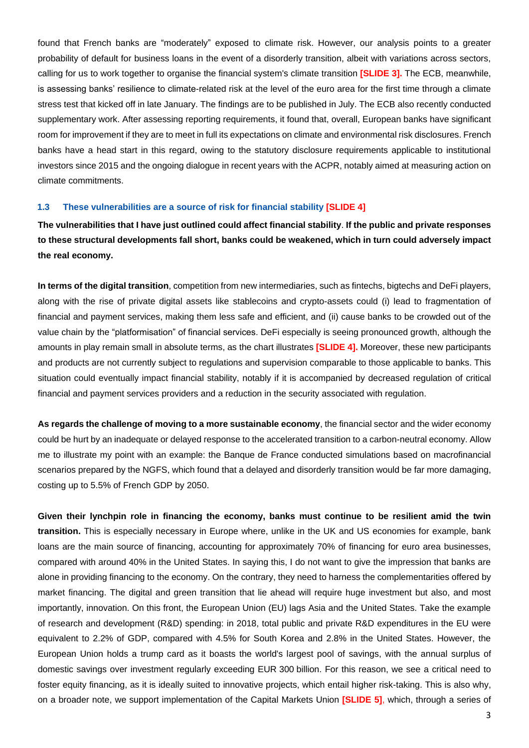found that French banks are "moderately" exposed to climate risk. However, our analysis points to a greater probability of default for business loans in the event of a disorderly transition, albeit with variations across sectors, calling for us to work together to organise the financial system's climate transition **[SLIDE 3].** The ECB, meanwhile, is assessing banks' resilience to climate-related risk at the level of the euro area for the first time through a climate stress test that kicked off in late January. The findings are to be published in July. The ECB also recently conducted supplementary work. After assessing reporting requirements, it found that, overall, European banks have significant room for improvement if they are to meet in full its expectations on climate and environmental risk disclosures. French banks have a head start in this regard, owing to the statutory disclosure requirements applicable to institutional investors since 2015 and the ongoing dialogue in recent years with the ACPR, notably aimed at measuring action on climate commitments.

#### **1.3 These vulnerabilities are a source of risk for financial stability [SLIDE 4]**

**The vulnerabilities that I have just outlined could affect financial stability**. **If the public and private responses to these structural developments fall short, banks could be weakened, which in turn could adversely impact the real economy.**

**In terms of the digital transition**, competition from new intermediaries, such as fintechs, bigtechs and DeFi players, along with the rise of private digital assets like stablecoins and crypto-assets could (i) lead to fragmentation of financial and payment services, making them less safe and efficient, and (ii) cause banks to be crowded out of the value chain by the "platformisation" of financial services. DeFi especially is seeing pronounced growth, although the amounts in play remain small in absolute terms, as the chart illustrates **[SLIDE 4].** Moreover, these new participants and products are not currently subject to regulations and supervision comparable to those applicable to banks. This situation could eventually impact financial stability, notably if it is accompanied by decreased regulation of critical financial and payment services providers and a reduction in the security associated with regulation.

**As regards the challenge of moving to a more sustainable economy**, the financial sector and the wider economy could be hurt by an inadequate or delayed response to the accelerated transition to a carbon-neutral economy. Allow me to illustrate my point with an example: the Banque de France conducted simulations based on macrofinancial scenarios prepared by the NGFS, which found that a delayed and disorderly transition would be far more damaging, costing up to 5.5% of French GDP by 2050.

**Given their lynchpin role in financing the economy, banks must continue to be resilient amid the twin transition.** This is especially necessary in Europe where, unlike in the UK and US economies for example, bank loans are the main source of financing, accounting for approximately 70% of financing for euro area businesses, compared with around 40% in the United States. In saying this, I do not want to give the impression that banks are alone in providing financing to the economy. On the contrary, they need to harness the complementarities offered by market financing. The digital and green transition that lie ahead will require huge investment but also, and most importantly, innovation. On this front, the European Union (EU) lags Asia and the United States. Take the example of research and development (R&D) spending: in 2018, total public and private R&D expenditures in the EU were equivalent to 2.2% of GDP, compared with 4.5% for South Korea and 2.8% in the United States. However, the European Union holds a trump card as it boasts the world's largest pool of savings, with the annual surplus of domestic savings over investment regularly exceeding EUR 300 billion. For this reason, we see a critical need to foster equity financing, as it is ideally suited to innovative projects, which entail higher risk-taking. This is also why, on a broader note, we support implementation of the Capital Markets Union **[SLIDE 5]**, which, through a series of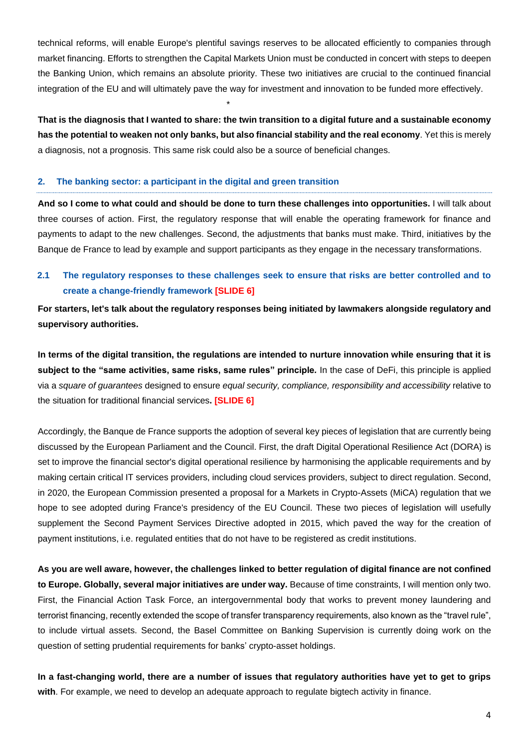technical reforms, will enable Europe's plentiful savings reserves to be allocated efficiently to companies through market financing. Efforts to strengthen the Capital Markets Union must be conducted in concert with steps to deepen the Banking Union, which remains an absolute priority. These two initiatives are crucial to the continued financial integration of the EU and will ultimately pave the way for investment and innovation to be funded more effectively.

**That is the diagnosis that I wanted to share: the twin transition to a digital future and a sustainable economy has the potential to weaken not only banks, but also financial stability and the real economy**. Yet this is merely a diagnosis, not a prognosis. This same risk could also be a source of beneficial changes.

\*

### **2. The banking sector: a participant in the digital and green transition**

**And so I come to what could and should be done to turn these challenges into opportunities.** I will talk about three courses of action. First, the regulatory response that will enable the operating framework for finance and payments to adapt to the new challenges. Second, the adjustments that banks must make. Third, initiatives by the Banque de France to lead by example and support participants as they engage in the necessary transformations.

# **2.1 The regulatory responses to these challenges seek to ensure that risks are better controlled and to create a change-friendly framework [SLIDE 6]**

**For starters, let's talk about the regulatory responses being initiated by lawmakers alongside regulatory and supervisory authorities.** 

**In terms of the digital transition, the regulations are intended to nurture innovation while ensuring that it is subject to the "same activities, same risks, same rules" principle***.* In the case of DeFi, this principle is applied via a *square of guarantees* designed to ensure *equal security, compliance, responsibility and accessibility* relative to the situation for traditional financial services**. [SLIDE 6]**

Accordingly, the Banque de France supports the adoption of several key pieces of legislation that are currently being discussed by the European Parliament and the Council. First, the draft Digital Operational Resilience Act (DORA) is set to improve the financial sector's digital operational resilience by harmonising the applicable requirements and by making certain critical IT services providers, including cloud services providers, subject to direct regulation. Second, in 2020, the European Commission presented a proposal for a Markets in Crypto-Assets (MiCA) regulation that we hope to see adopted during France's presidency of the EU Council. These two pieces of legislation will usefully supplement the Second Payment Services Directive adopted in 2015, which paved the way for the creation of payment institutions, i.e. regulated entities that do not have to be registered as credit institutions.

**As you are well aware, however, the challenges linked to better regulation of digital finance are not confined to Europe. Globally, several major initiatives are under way.** Because of time constraints, I will mention only two. First, the Financial Action Task Force, an intergovernmental body that works to prevent money laundering and terrorist financing, recently extended the scope of transfer transparency requirements, also known as the "travel rule", to include virtual assets. Second, the Basel Committee on Banking Supervision is currently doing work on the question of setting prudential requirements for banks' crypto-asset holdings.

**In a fast-changing world, there are a number of issues that regulatory authorities have yet to get to grips with**. For example, we need to develop an adequate approach to regulate bigtech activity in finance.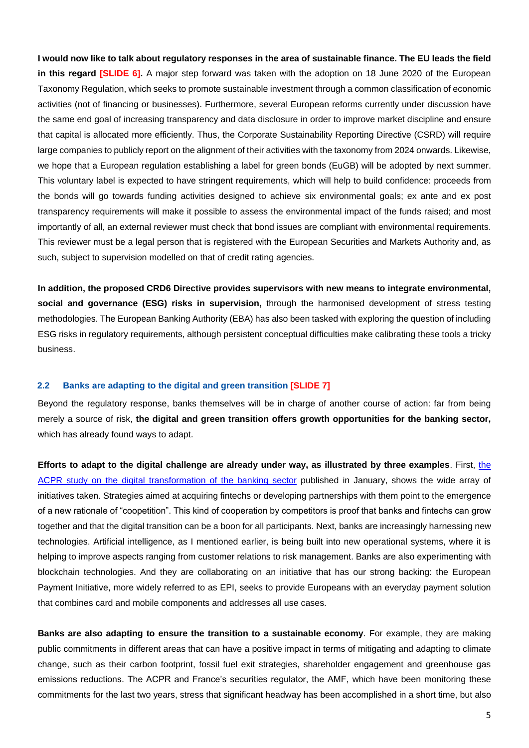**I would now like to talk about regulatory responses in the area of sustainable finance. The EU leads the field in this regard [SLIDE 6].** A major step forward was taken with the adoption on 18 June 2020 of the European Taxonomy Regulation, which seeks to promote sustainable investment through a common classification of economic activities (not of financing or businesses). Furthermore, several European reforms currently under discussion have the same end goal of increasing transparency and data disclosure in order to improve market discipline and ensure that capital is allocated more efficiently. Thus, the Corporate Sustainability Reporting Directive (CSRD) will require large companies to publicly report on the alignment of their activities with the taxonomy from 2024 onwards. Likewise, we hope that a European regulation establishing a label for green bonds (EuGB) will be adopted by next summer. This voluntary label is expected to have stringent requirements, which will help to build confidence: proceeds from the bonds will go towards funding activities designed to achieve six environmental goals; ex ante and ex post transparency requirements will make it possible to assess the environmental impact of the funds raised; and most importantly of all, an external reviewer must check that bond issues are compliant with environmental requirements. This reviewer must be a legal person that is registered with the European Securities and Markets Authority and, as such, subject to supervision modelled on that of credit rating agencies.

**In addition, the proposed CRD6 Directive provides supervisors with new means to integrate environmental, social and governance (ESG) risks in supervision,** through the harmonised development of stress testing methodologies. The European Banking Authority (EBA) has also been tasked with exploring the question of including ESG risks in regulatory requirements, although persistent conceptual difficulties make calibrating these tools a tricky business.

### **2.2 Banks are adapting to the digital and green transition [SLIDE 7]**

Beyond the regulatory response, banks themselves will be in charge of another course of action: far from being merely a source of risk, **the digital and green transition offers growth opportunities for the banking sector,**  which has already found ways to adapt.

**Efforts to adapt to the digital challenge are already under way, as illustrated by three examples**. First, [the](https://acpr.banque-france.fr/sites/default/files/medias/documents/20220114_as131_transfo_numerique_banques.pdf)  [ACPR study on the digital transformation of the banking sector](https://acpr.banque-france.fr/sites/default/files/medias/documents/20220114_as131_transfo_numerique_banques.pdf) published in January, shows the wide array of initiatives taken. Strategies aimed at acquiring fintechs or developing partnerships with them point to the emergence of a new rationale of "coopetition". This kind of cooperation by competitors is proof that banks and fintechs can grow together and that the digital transition can be a boon for all participants. Next, banks are increasingly harnessing new technologies. Artificial intelligence, as I mentioned earlier, is being built into new operational systems, where it is helping to improve aspects ranging from customer relations to risk management. Banks are also experimenting with blockchain technologies. And they are collaborating on an initiative that has our strong backing: the European Payment Initiative, more widely referred to as EPI, seeks to provide Europeans with an everyday payment solution that combines card and mobile components and addresses all use cases.

**Banks are also adapting to ensure the transition to a sustainable economy**. For example, they are making public commitments in different areas that can have a positive impact in terms of mitigating and adapting to climate change, such as their carbon footprint, fossil fuel exit strategies, shareholder engagement and greenhouse gas emissions reductions. The ACPR and France's securities regulator, the AMF, which have been monitoring these commitments for the last two years, stress that significant headway has been accomplished in a short time, but also